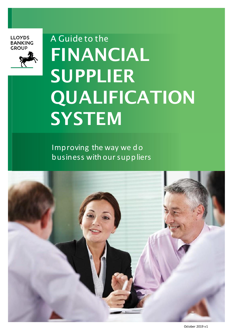**LLOYDS BANKING GROUP** 



# A Guide to the FINANCIAL SUPPLIER QUALIFICATION **SYSTEM**

Improving the way we do business with oursuppliers

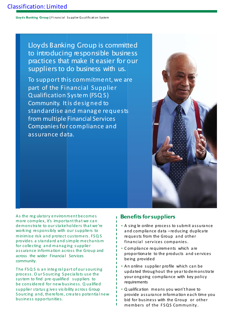**Lloyds Banking Group |** F i nanc ial Su pplier Q u alific ati on System

Lloyds Banking Group is committed to introducing responsible business practices that make it easier for our suppliers to do business with us.

To support this commitment, we are part of the Financial Supplier Qualification System (FSQ S) Community. Itis desig ned to standardise and manag e requests from multiple Financial Services Companies for compliance and assurance data.



As the reg ula tory environment becomes more complex, it's important that we can demonstra te to oursta keholders tha t we're work ing responsibly with our suppliers to minimise risk and protect customers. FSQ S provides a standard and simple mecha nism for collecting and managing supplier a ssurance informa tion across the Group and across the wider Financial Services community.

The FSQ S is an integral part of our sourcing process. O ur S ourcing S pecia lists use the system to find pre-qualified suppliers to be considered for new business. Q ualified supplier sta tus g ives visibility a cross Group S ourcing and, therefore, crea tes potential new business opportunities.

## **Benefits forsuppliers**

ï

- A sing le online process to submit assurance and compliance da ta –reducing duplica te requests from the Group a nd other financial services companies.
- C ompliance requirements which are proportiona te to the products and services being provided
- An online supplier profile which can be upda ted throughout the yea rto demonstra te your ongoing compliance with key policy requirements
- Q ualification means you won't have to provide a ssurance information ea ch time you bid for business with the Group or other members of the FSQS Community.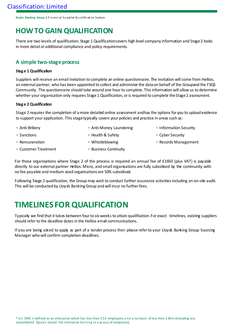**Lloyd s Banking Group |** Fi n anc ial Su pplier Q u alific ati on S ystem

# **HOW TO GAIN QUALIFICATION**

There are two levels of qualification. Stage 1 Qualification covers high level company information and Stage 2 looks in more detail at additional compliance and policy requirements.

## **A simple two-stageprocess**

#### **Stag e 1 Qualification**

Suppliers will receive an email invitation to complete an online questionnaire. The invitation will come from Hellios, an external partner, who has been appointed to collect and administer the data on behalf of the Groupand the FSQS Community. The questionnaire should take around one hour to complete. This information will allow us to determine whether your organisation only requires Stage 1 Qualification, or is required to complete the Stage 2 assessment.

#### **Stag e 2 Qualification**

Stage 2 requires the completion of a more detailed online assessment and has the options for you to upload evidence to support your application. This stage typically covers your policies and practice in areas such as:

- Anti-Bribery
- Sanctions • Remuneration
- Anti-Money Laundering
- Information Security

• Health & Safety

• Cyber Security • Records Management

- Customer Treatment
- Whistleblowing
- Business Continuity

For those organisations where Stage 2 of the process is required an annual fee of £1650 (plus VAT) is payable directly to our external partner Hellios. Micro, and small organisations are fully subsidised by the community with no fee payable and medium sized organisations are 50% subsidised.

Following Stage 2 qualification, the Group may wish to conduct further assurance activities including an on-site audit. This will be conducted by Lloyds BankingGroup and will incur no furtherfees.

# **TIMELINES FOR QUALIFICATION**

Typically we find that it takes between four to six weeks to attain qualification. For exact timelines, existing suppliers should referto the deadline dates in the Hellios email communications.

If you are being asked to apply as part of a tender process then please refer to your Lloyds Banking Group Sourcing Manager who will confirm completion deadlines.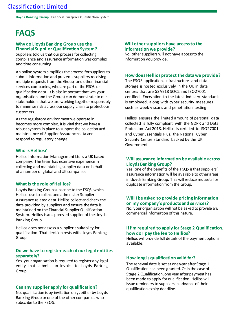**Lloyds Banking Group |** F i n anc ial S u pp lier Q ualific ati on System

# **FAQS**

#### **Why do Lloyds Banking Group use the Financial Supplier Qualification System?**

Suppliers told us that our process for collecting compliance and assurance information was complex and time consuming.

An online system simplifies the process for suppliers to submit information and prevents suppliers receiving multiple requests from the Group, and other financial services companies, who are part of the FSQS for qualification data. It is also important that we (your organisation and the Group) can demonstrate to our stakeholders that we are working together responsibly to minimise risk across our supply chain to protect our customers.

As the regulatory environment we operate in becomes more complex, it is vital that we have a robust system in place to support the collection and maintenance of Supplier Assurance data and respond to regulatory change.

#### **Who is Hellios?**

Hellios Information Management Ltd is a UK based company. The team has extensive experience in collecting and maintaining supplier data on behalf of a number of global and UK companies.

#### **What is the role of Hellios?**

Lloyds Banking Group subscribe to the FSQS, which Hellios use to collect and administer Supplier Assurance related data.Hellios collect and check the data provided by suppliers and ensure the data is maintained on the Financial Supplier Qualification System. Hellios is an approved supplier of the Lloyds Banking Group.

Hellios does not assess a supplier's suitability for qualification. That decision rests with Lloyds Banking Group.

#### **Do we have to register each of our legal entities separately?**

Yes, your organisation is required to register any legal entity that submits an invoice to Lloyds Banking Group.

#### **Can any supplier apply for qualification?**

No, qualification is by invitation only, either by Lloyds Banking Group or one of the other companies who subscribe to the FSQS.

#### **Will other suppliers have access to the information we provide?**

No, other suppliers will not have access to the information you provide.

#### **How does Hellios protect the data we provide?**

The FSQS application, infrastructure and data storage is hosted exclusively in the UK in data centres that are SSAE18 SOC2 and ISO27001 certified. Encryption to the latest industry standards is employed, along with cyber security measures such as weekly scans and penetration testing.

Hellios ensures the limited amount of personal data collected is fully compliant with the GDPR and Data Protection Act 2018. Hellios is certified to ISO27001 and Cyber Essentials Plus, the National Cyber Security Centre standard backed by the UK Government.

#### **Will assurance information be available across Lloyds Banking Group?**

Yes, one of the benefits of the FSQS is that suppliers' assurance information will be available to other areas in Lloyds Banking Group. This will reduce requests for duplicate information from the Group.

## **Will I be asked to provide pricing information on my company's products and services?**

No, your organisation will not be asked to provide any commercial information of this nature.

#### **If I'm required to apply for Stage 2 Qualification, how do I pay the fee to Hellios?**

Hellios will provide full details of the payment options available.

#### **How long is qualification valid for?**

Ï Ī The renewal date is set at one year after Stage 1 Qualification has been granted. Or in the case of Stage 2 Qualification, one year after payment has been made to apply for qualification. Hellios will issue reminders to suppliers in advance of their qualification expiry deadline.